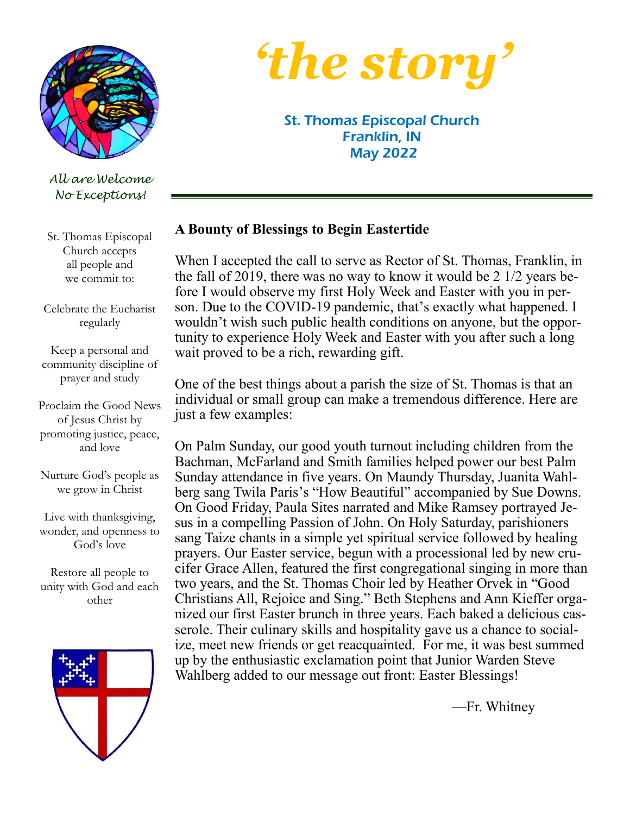

*All are Welcome No Exceptions!*

St. Thomas Episcopal Church accepts all people and we commit to:

Celebrate the Eucharist regularly

Keep a personal and community discipline of prayer and study

Proclaim the Good News of Jesus Christ by promoting justice, peace, and love

Nurture God's people as we grow in Christ

Live with thanksgiving, wonder, and openness to God's love

Restore all people to unity with God and each other





St. Thomas Episcopal Church Franklin, IN May 2022

#### **A Bounty of Blessings to Begin Eastertide**

When I accepted the call to serve as Rector of St. Thomas, Franklin, in the fall of 2019, there was no way to know it would be 2 1/2 years before I would observe my first Holy Week and Easter with you in person. Due to the COVID-19 pandemic, that's exactly what happened. I wouldn't wish such public health conditions on anyone, but the opportunity to experience Holy Week and Easter with you after such a long wait proved to be a rich, rewarding gift.

One of the best things about a parish the size of St. Thomas is that an individual or small group can make a tremendous difference. Here are just a few examples:

On Palm Sunday, our good youth turnout including children from the Bachman, McFarland and Smith families helped power our best Palm Sunday attendance in five years. On Maundy Thursday, Juanita Wahlberg sang Twila Paris's "How Beautiful" accompanied by Sue Downs. On Good Friday, Paula Sites narrated and Mike Ramsey portrayed Jesus in a compelling Passion of John. On Holy Saturday, parishioners sang Taize chants in a simple yet spiritual service followed by healing prayers. Our Easter service, begun with a processional led by new crucifer Grace Allen, featured the first congregational singing in more than two years, and the St. Thomas Choir led by Heather Orvek in "Good Christians All, Rejoice and Sing." Beth Stephens and Ann Kieffer organized our first Easter brunch in three years. Each baked a delicious casserole. Their culinary skills and hospitality gave us a chance to socialize, meet new friends or get reacquainted. For me, it was best summed up by the enthusiastic exclamation point that Junior Warden Steve Wahlberg added to our message out front: Easter Blessings!

—Fr. Whitney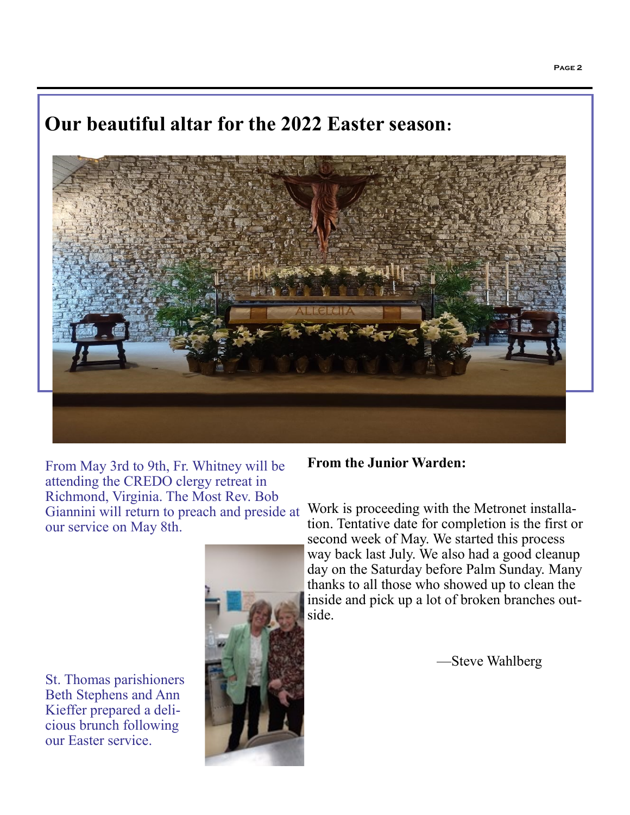# **Our beautiful altar for the 2022 Easter season:**



From May 3rd to 9th, Fr. Whitney will be attending the CREDO clergy retreat in Richmond, Virginia. The Most Rev. Bob Giannini will return to preach and preside at our service on May 8th.

St. Thomas parishioners Beth Stephens and Ann Kieffer prepared a delicious brunch following our Easter service.



#### **From the Junior Warden:**

Work is proceeding with the Metronet installation. Tentative date for completion is the first or second week of May. We started this process way back last July. We also had a good cleanup day on the Saturday before Palm Sunday. Many thanks to all those who showed up to clean the inside and pick up a lot of broken branches outside.

—Steve Wahlberg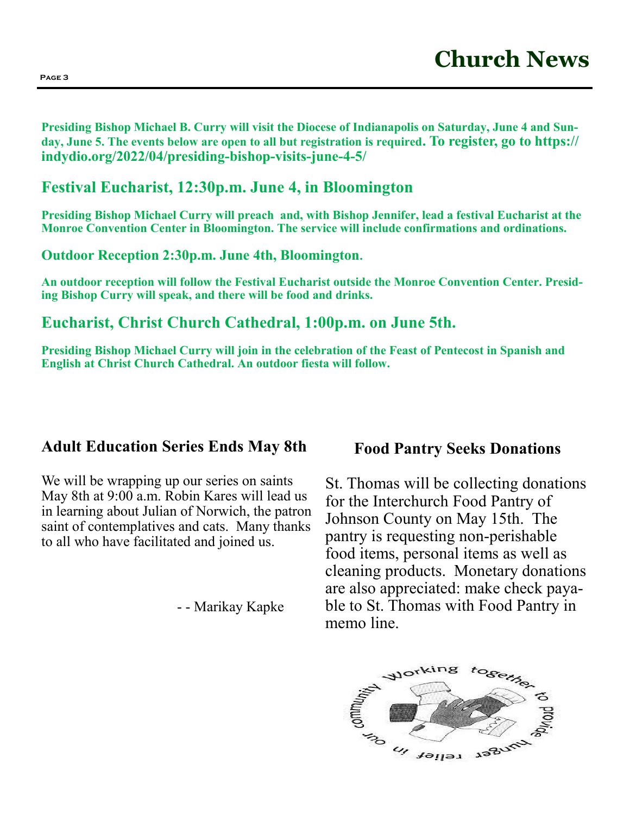**Presiding Bishop Michael B. Curry will visit the Diocese of Indianapolis on Saturday, June 4 and Sunday, June 5. The events below are open to all but registration is required. To register, go to https:// indydio.org/2022/04/presiding-bishop-visits-june-4-5/**

# **Festival Eucharist, 12:30p.m. June 4, in Bloomington**

**Presiding Bishop Michael Curry will preach and, with Bishop Jennifer, lead a festival Eucharist at the Monroe Convention Center in Bloomington. The service will include confirmations and ordinations.** 

**Outdoor Reception 2:30p.m. June 4th, Bloomington.**

**An outdoor reception will follow the Festival Eucharist outside the Monroe Convention Center. Presiding Bishop Curry will speak, and there will be food and drinks.** 

# **Eucharist, Christ Church Cathedral, 1:00p.m. on June 5th.**

**Presiding Bishop Michael Curry will join in the celebration of the Feast of Pentecost in Spanish and English at Christ Church Cathedral. An outdoor fiesta will follow.**

# **Adult Education Series Ends May 8th**

We will be wrapping up our series on saints May 8th at 9:00 a.m. Robin Kares will lead us in learning about Julian of Norwich, the patron saint of contemplatives and cats. Many thanks to all who have facilitated and joined us.

- - Marikay Kapke

# **Food Pantry Seeks Donations**

St. Thomas will be collecting donations for the Interchurch Food Pantry of Johnson County on May 15th. The pantry is requesting non-perishable food items, personal items as well as cleaning products. Monetary donations are also appreciated: make check payable to St. Thomas with Food Pantry in memo line.